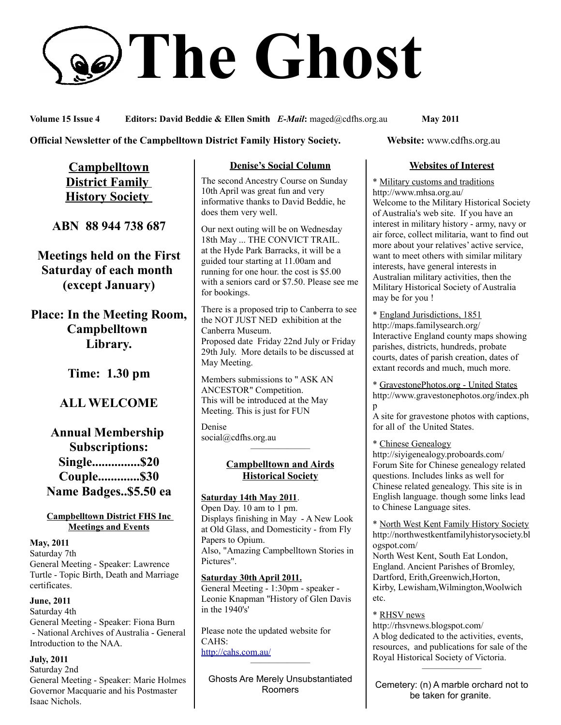# **The Ghost**

**Volume 15 Issue 4 Editors: David Beddie & Ellen Smith** *E-Mail***:** maged@cdfhs.org.au **May 2011**

**Official Newsletter of the Campbelltown District Family History Society. Website: www.cdfhs.org.au** 

**Campbelltown District Family History Society** 

**ABN 88 944 738 687**

**Meetings held on the First Saturday of each month (except January)**

**Place: In the Meeting Room, Campbelltown Library.**

**Time: 1.30 pm**

# **ALL WELCOME**

# **Annual Membership Subscriptions: Single...............\$20 Couple.............\$30 Name Badges..\$5.50 ea**

#### **Campbelltown District FHS Inc Meetings and Events**

**May, 2011**

Saturday 7th General Meeting - Speaker: Lawrence Turtle - Topic Birth, Death and Marriage certificates.

**June, 2011** Saturday 4th General Meeting - Speaker: Fiona Burn - National Archives of Australia - General Introduction to the NAA.

**July, 2011** Saturday 2nd General Meeting - Speaker: Marie Holmes Governor Macquarie and his Postmaster Isaac Nichols.

#### **Denise's Social Column**

The second Ancestry Course on Sunday 10th April was great fun and very informative thanks to David Beddie, he does them very well.

Our next outing will be on Wednesday 18th May ... THE CONVICT TRAIL. at the Hyde Park Barracks, it will be a guided tour starting at 11.00am and running for one hour. the cost is \$5.00 with a seniors card or \$7.50. Please see me for bookings.

There is a proposed trip to Canberra to see the NOT JUST NED exhibition at the Canberra Museum. Proposed date Friday 22nd July or Friday 29th July. More details to be discussed at May Meeting.

Members submissions to " ASK AN ANCESTOR" Competition. This will be introduced at the May Meeting. This is just for FUN

Denise social@cdfhs.org.au

#### **Campbelltown and Airds Historical Society**

——————–

**Saturday 14th May 2011**. Open Day. 10 am to 1 pm. Displays finishing in May - A New Look at Old Glass, and Domesticity - from Fly Papers to Opium. Also, "Amazing Campbelltown Stories in Pictures".

**Saturday 30th April 2011.** General Meeting - 1:30pm - speaker - Leonie Knapman ''History of Glen Davis in the 1940's'

Please note the updated website for CAHS: <http://cahs.com.au/> ——————–

Ghosts Are Merely Unsubstantiated Roomers

#### **Websites of Interest**

\* Military customs and traditions http://www.mhsa.org.au/ Welcome to the Military Historical Society of Australia's web site. If you have an interest in military history - army, navy or air force, collect militaria, want to find out more about your relatives' active service, want to meet others with similar military interests, have general interests in Australian military activities, then the Military Historical Society of Australia may be for you !

\* England Jurisdictions, 1851 http://maps.familysearch.org/ Interactive England county maps showing parishes, districts, hundreds, probate courts, dates of parish creation, dates of extant records and much, much more.

\* GravestonePhotos.org - United States http://www.gravestonephotos.org/index.ph p

A site for gravestone photos with captions, for all of the United States.

#### \* Chinese Genealogy

http://siyigenealogy.proboards.com/ Forum Site for Chinese genealogy related questions. Includes links as well for Chinese related genealogy. This site is in English language. though some links lead to Chinese Language sites.

\* North West Kent Family History Society http://northwestkentfamilyhistorysociety.bl ogspot.com/

North West Kent, South Eat London, England. Ancient Parishes of Bromley, Dartford, Erith,Greenwich,Horton, Kirby, Lewisham,Wilmington,Woolwich etc.

#### \* RHSV news

http://rhsvnews.blogspot.com/ A blog dedicated to the activities, events, resources, and publications for sale of the Royal Historical Society of Victoria. ——————–

Cemetery: (n) A marble orchard not to be taken for granite.